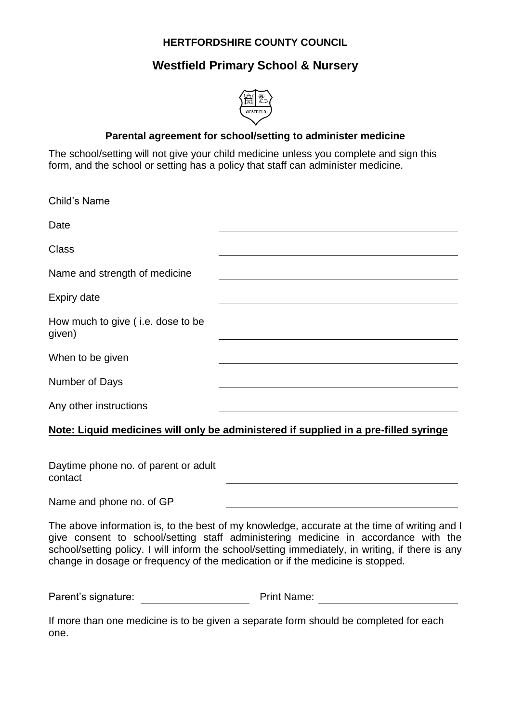## **HERTFORDSHIRE COUNTY COUNCIL**

# **Westfield Primary School & Nursery**



#### **Parental agreement for school/setting to administer medicine**

The school/setting will not give your child medicine unless you complete and sign this form, and the school or setting has a policy that staff can administer medicine.

| <b>Child's Name</b>                         |
|---------------------------------------------|
| Date                                        |
| <b>Class</b>                                |
| Name and strength of medicine               |
| <b>Expiry date</b>                          |
| How much to give (i.e. dose to be<br>given) |
| When to be given                            |
| Number of Days                              |
| Any other instructions                      |

### **Note: Liquid medicines will only be administered if supplied in a pre-filled syringe**

Daytime phone no. of parent or adult contact

Name and phone no. of GP

The above information is, to the best of my knowledge, accurate at the time of writing and I give consent to school/setting staff administering medicine in accordance with the school/setting policy. I will inform the school/setting immediately, in writing, if there is any change in dosage or frequency of the medication or if the medicine is stopped.

Parent's signature: Print Name:

If more than one medicine is to be given a separate form should be completed for each one.